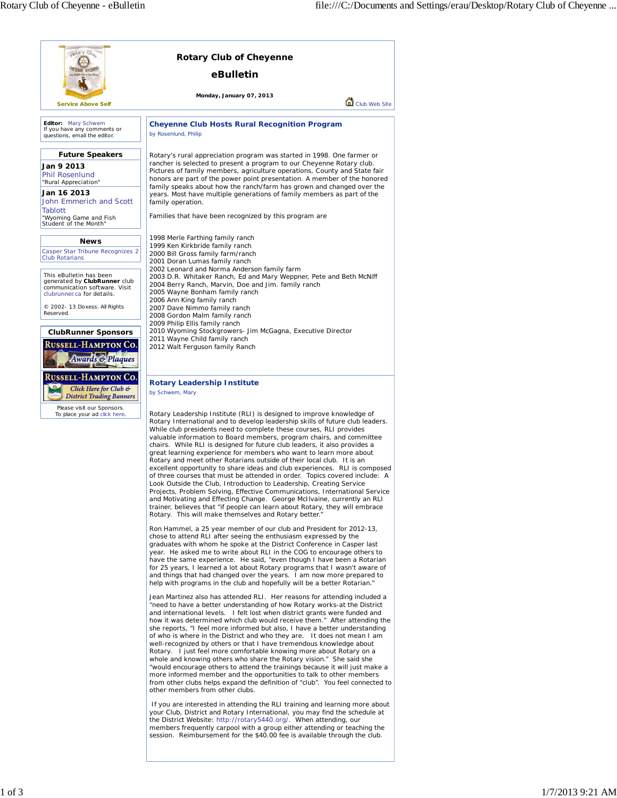| cotary Club                                                                                                                                                                                                                                                                                                                   | <b>Rotary Club of Cheyenne</b>                                                                                                                                                                                                                                                                                                                                                                                                                                                                                                                                                                                                                                                                                                                                                                                                                                                                                                                                                                                                                                                                                                                                                                                                                                                                                                                                                                                                                                                                                                                                                                                                                                                                                                                                                                                         |               |
|-------------------------------------------------------------------------------------------------------------------------------------------------------------------------------------------------------------------------------------------------------------------------------------------------------------------------------|------------------------------------------------------------------------------------------------------------------------------------------------------------------------------------------------------------------------------------------------------------------------------------------------------------------------------------------------------------------------------------------------------------------------------------------------------------------------------------------------------------------------------------------------------------------------------------------------------------------------------------------------------------------------------------------------------------------------------------------------------------------------------------------------------------------------------------------------------------------------------------------------------------------------------------------------------------------------------------------------------------------------------------------------------------------------------------------------------------------------------------------------------------------------------------------------------------------------------------------------------------------------------------------------------------------------------------------------------------------------------------------------------------------------------------------------------------------------------------------------------------------------------------------------------------------------------------------------------------------------------------------------------------------------------------------------------------------------------------------------------------------------------------------------------------------------|---------------|
|                                                                                                                                                                                                                                                                                                                               | eBulletin                                                                                                                                                                                                                                                                                                                                                                                                                                                                                                                                                                                                                                                                                                                                                                                                                                                                                                                                                                                                                                                                                                                                                                                                                                                                                                                                                                                                                                                                                                                                                                                                                                                                                                                                                                                                              |               |
| <b>Service Above Self</b>                                                                                                                                                                                                                                                                                                     | Monday, January 07, 2013                                                                                                                                                                                                                                                                                                                                                                                                                                                                                                                                                                                                                                                                                                                                                                                                                                                                                                                                                                                                                                                                                                                                                                                                                                                                                                                                                                                                                                                                                                                                                                                                                                                                                                                                                                                               | Club Web Site |
| Editor: Mary Schwem<br>If you have any comments or<br>questions, email the editor.                                                                                                                                                                                                                                            | <b>Cheyenne Club Hosts Rural Recognition Program</b><br>by Rosenlund, Philip                                                                                                                                                                                                                                                                                                                                                                                                                                                                                                                                                                                                                                                                                                                                                                                                                                                                                                                                                                                                                                                                                                                                                                                                                                                                                                                                                                                                                                                                                                                                                                                                                                                                                                                                           |               |
| <b>Future Speakers</b><br>Jan 9 2013<br>Phil Rosenlund<br>"Rural Appreciation"<br>Jan 16 2013<br>John Emmerich and Scott<br>Tablott<br>"Wyoming Game and Fish<br>Student of the Month"                                                                                                                                        | Rotary's rural appreciation program was started in 1998. One farmer or<br>rancher is selected to present a program to our Cheyenne Rotary club.<br>Pictures of family members, agriculture operations, County and State fair<br>honors are part of the power point presentation. A member of the honored<br>family speaks about how the ranch/farm has grown and changed over the<br>years. Most have multiple generations of family members as part of the<br>family operation.<br>Families that have been recognized by this program are                                                                                                                                                                                                                                                                                                                                                                                                                                                                                                                                                                                                                                                                                                                                                                                                                                                                                                                                                                                                                                                                                                                                                                                                                                                                             |               |
| News<br>Casper Star Tribune Recognizes 2<br><b>Club Rotarians</b><br>This eBulletin has been<br>generated by ClubRunner club<br>communication software. Visit<br>clubrunner.ca for details.<br>© 2002- 13 Doxess. All Rights<br>Reserved.<br><b>ClubRunner Sponsors</b><br>Russell-Hampton Co.<br><b>Awards &amp; Plaques</b> | 1998 Merle Farthing family ranch<br>1999 Ken Kirkbride family ranch<br>2000 Bill Gross family farm/ranch<br>2001 Doran Lumas family ranch<br>2002 Leonard and Norma Anderson family farm<br>2003 D.R. Whitaker Ranch, Ed and Mary Weppner, Pete and Beth McNiff<br>2004 Berry Ranch, Marvin, Doe and Jim. family ranch<br>2005 Wayne Bonham family ranch<br>2006 Ann King family ranch<br>2007 Dave Nimmo family ranch<br>2008 Gordon Malm family ranch<br>2009 Philip Ellis family ranch<br>2010 Wyoming Stockgrowers- Jim McGagna, Executive Director<br>2011 Wayne Child family ranch<br>2012 Walt Ferguson family Ranch                                                                                                                                                                                                                                                                                                                                                                                                                                                                                                                                                                                                                                                                                                                                                                                                                                                                                                                                                                                                                                                                                                                                                                                            |               |
| <b>RUSSELL-HAMPTON CO.</b><br>Click Here for Club &<br><b>District Trading Banners</b><br>Please visit our Sponsors.<br>To place your ad click here.                                                                                                                                                                          | <b>Rotary Leadership Institute</b><br>by Schwem, Mary<br>Rotary Leadership Institute (RLI) is designed to improve knowledge of<br>Rotary International and to develop leadership skills of future club leaders.<br>While club presidents need to complete these courses, RLI provides<br>valuable information to Board members, program chairs, and committee<br>chairs. While RLI is designed for future club leaders, it also provides a<br>great learning experience for members who want to learn more about<br>Rotary and meet other Rotarians outside of their local club. It is an<br>excellent opportunity to share ideas and club experiences. RLI is composed<br>of three courses that must be attended in order. Topics covered include: A<br>Look Outside the Club, Introduction to Leadership, Creating Service<br>Projects, Problem Solving, Effective Communications, International Service<br>and Motivating and Effecting Change. George McIIvaine, currently an RLI<br>trainer, believes that "if people can learn about Rotary, they will embrace<br>Rotary. This will make themselves and Rotary better."<br>Ron Hammel, a 25 year member of our club and President for 2012-13,<br>chose to attend RLI after seeing the enthusiasm expressed by the<br>graduates with whom he spoke at the District Conference in Casper last<br>year. He asked me to write about RLI in the COG to encourage others to<br>have the same experience. He said, "even though I have been a Rotarian<br>for 25 years, I learned a lot about Rotary programs that I wasn't aware of<br>and things that had changed over the years. I am now more prepared to<br>help with programs in the club and hopefully will be a better Rotarian."<br>Jean Martinez also has attended RLI. Her reasons for attending included a |               |
|                                                                                                                                                                                                                                                                                                                               | "need to have a better understanding of how Rotary works-at the District<br>and international levels. I felt lost when district grants were funded and<br>how it was determined which club would receive them." After attending the<br>she reports, "I feel more informed but also, I have a better understanding<br>of who is where in the District and who they are. It does not mean I am<br>well-recognized by others or that I have tremendous knowledge about<br>Rotary. I just feel more comfortable knowing more about Rotary on a<br>whole and knowing others who share the Rotary vision." She said she<br>"would encourage others to attend the trainings because it will just make a<br>more informed member and the opportunities to talk to other members<br>from other clubs helps expand the definition of "club". You feel connected to<br>other members from other clubs.<br>If you are interested in attending the RLI training and learning more about                                                                                                                                                                                                                                                                                                                                                                                                                                                                                                                                                                                                                                                                                                                                                                                                                                             |               |

your Club, District and Rotary International, you may find the schedule at<br>the District Website: http://rotary5440.org/. When attending, our<br>members frequently carpool with a group either attending or teaching the<br>session.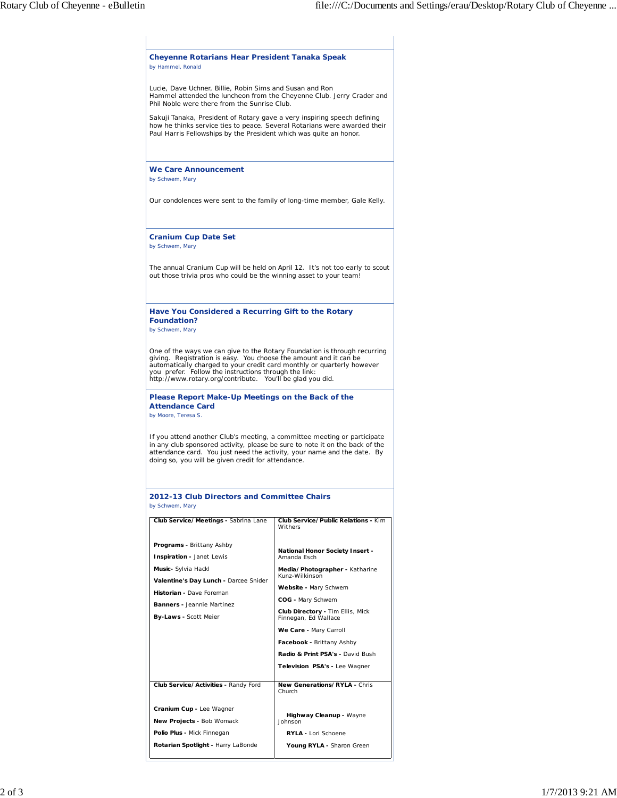| <b>Cheyenne Rotarians Hear President Tanaka Speak</b><br>by Hammel, Ronald                                                                                                                                                                                                                |                                                                   |
|-------------------------------------------------------------------------------------------------------------------------------------------------------------------------------------------------------------------------------------------------------------------------------------------|-------------------------------------------------------------------|
| Lucie, Dave Uchner, Billie, Robin Sims and Susan and Ron<br>Hammel attended the luncheon from the Cheyenne Club. Jerry Crader and<br>Phil Noble were there from the Sunrise Club.                                                                                                         |                                                                   |
| Sakuji Tanaka, President of Rotary gave a very inspiring speech defining<br>how he thinks service ties to peace. Several Rotarians were awarded their<br>Paul Harris Fellowships by the President which was quite an honor.                                                               |                                                                   |
| <b>We Care Announcement</b><br>by Schwem, Mary                                                                                                                                                                                                                                            |                                                                   |
| Our condolences were sent to the family of long-time member, Gale Kelly.                                                                                                                                                                                                                  |                                                                   |
| <b>Cranium Cup Date Set</b><br>by Schwem, Mary                                                                                                                                                                                                                                            |                                                                   |
| The annual Cranium Cup will be held on April 12. It's not too early to scout<br>out those trivia pros who could be the winning asset to your team!                                                                                                                                        |                                                                   |
| Have You Considered a Recurring Gift to the Rotary<br><b>Foundation?</b><br>by Schwem, Mary                                                                                                                                                                                               |                                                                   |
| you prefer. Follow the instructions through the link:<br>http://www.rotary.org/contribute. You'll be glad you did.                                                                                                                                                                        |                                                                   |
| Please Report Make-Up Meetings on the Back of the<br><b>Attendance Card</b><br>by Moore, Teresa S.                                                                                                                                                                                        |                                                                   |
| If you attend another Club's meeting, a committee meeting or participate<br>in any club sponsored activity, please be sure to note it on the back of the<br>attendance card. You just need the activity, your name and the date. By<br>doing so, you will be given credit for attendance. |                                                                   |
|                                                                                                                                                                                                                                                                                           |                                                                   |
| Club Service/Meetings - Sabrina Lane                                                                                                                                                                                                                                                      | Club Service/Public Relations - Kim<br>Withers                    |
| Programs - Brittany Ashby<br>Inspiration - Janet Lewis                                                                                                                                                                                                                                    | National Honor Society Insert -<br>Amanda Esch                    |
| Music- Sylvia Hackl                                                                                                                                                                                                                                                                       | Media/Photographer - Katharine<br>Kunz-Wilkinson                  |
| Valentine's Day Lunch - Darcee Snider<br>Historian - Dave Foreman                                                                                                                                                                                                                         | Website - Mary Schwem                                             |
| <b>Banners</b> - Jeannie Martinez                                                                                                                                                                                                                                                         | COG - Mary Schwem                                                 |
| By-Laws - Scott Meier                                                                                                                                                                                                                                                                     | Club Directory - Tim Ellis, Mick<br>Finnegan, Ed Wallace          |
|                                                                                                                                                                                                                                                                                           | We Care - Mary Carroll                                            |
|                                                                                                                                                                                                                                                                                           | Facebook - Brittany Ashby                                         |
|                                                                                                                                                                                                                                                                                           | Radio & Print PSA's - David Bush<br>Television PSA's - Lee Wagner |
| 2012-13 Club Directors and Committee Chairs<br>by Schwem, Mary<br>Club Service/Activities - Randy Ford                                                                                                                                                                                    | New Generations/RYLA - Chris<br>Church                            |
| Cranium Cup - Lee Wagner                                                                                                                                                                                                                                                                  |                                                                   |
| New Projects - Bob Womack                                                                                                                                                                                                                                                                 | Highway Cleanup - Wayne<br>Johnson                                |
| Polio Plus - Mick Finnegan                                                                                                                                                                                                                                                                | RYLA - Lori Schoene                                               |